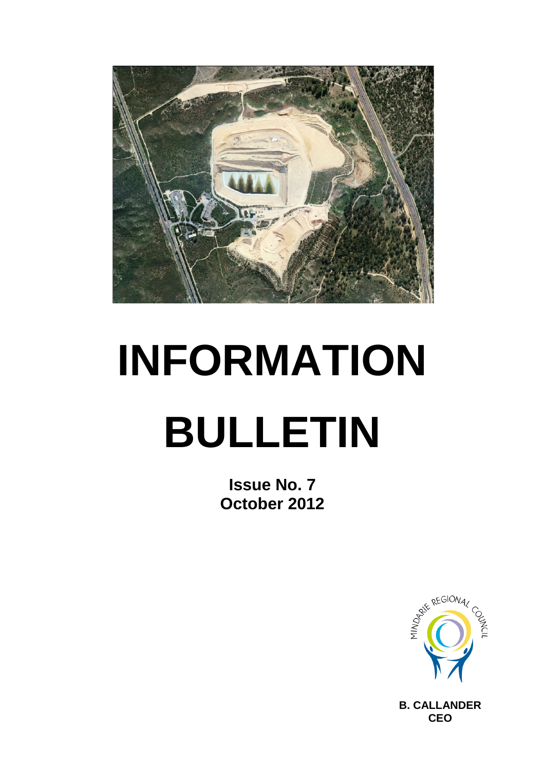

# **INFORMATION BULLETIN**

**Issue No. 7 October 2012**



**B. CALLANDER CEO**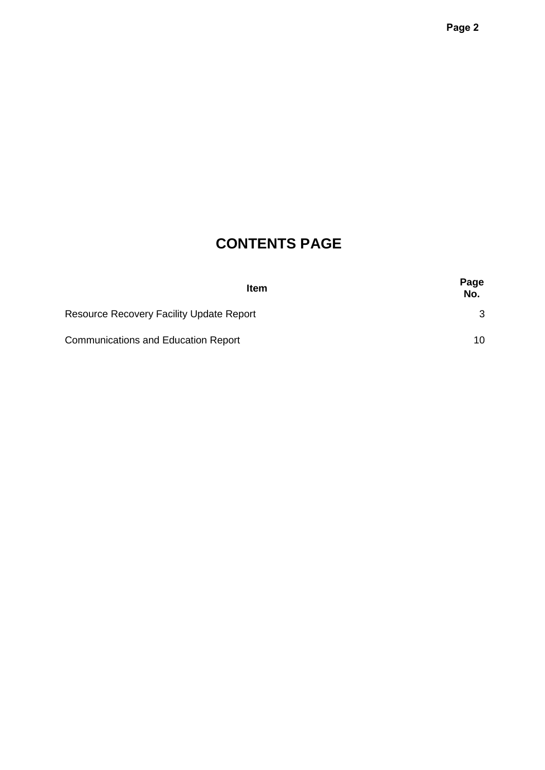# **CONTENTS PAGE**

| <b>Item</b>                                     | Page<br>No. |
|-------------------------------------------------|-------------|
| <b>Resource Recovery Facility Update Report</b> | 3           |
| <b>Communications and Education Report</b>      | 10          |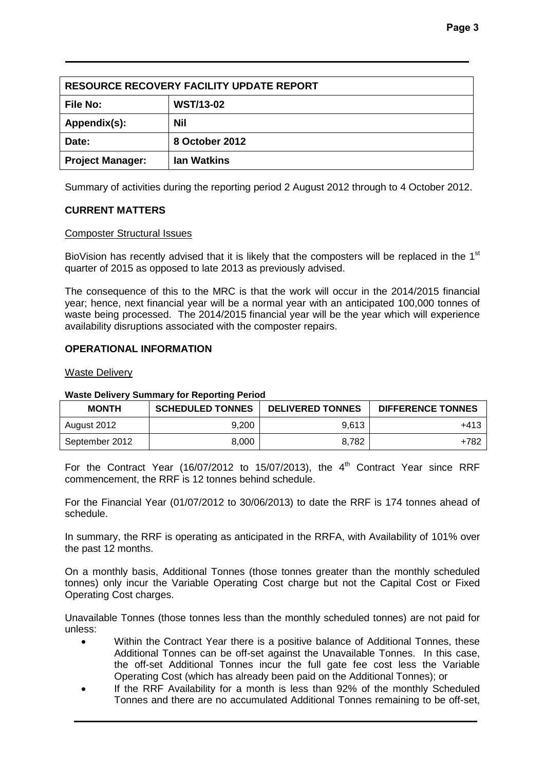| <b>RESOURCE RECOVERY FACILITY UPDATE REPORT</b> |                  |  |  |  |
|-------------------------------------------------|------------------|--|--|--|
| <b>File No:</b>                                 | <b>WST/13-02</b> |  |  |  |
| Appendix(s):                                    | <b>Nil</b>       |  |  |  |
| Date:                                           | 8 October 2012   |  |  |  |
| <b>Ian Watkins</b><br><b>Project Manager:</b>   |                  |  |  |  |

Summary of activities during the reporting period 2 August 2012 through to 4 October 2012.

# **CURRENT MATTERS**

#### Composter Structural Issues

BioVision has recently advised that it is likely that the composters will be replaced in the  $1<sup>st</sup>$ quarter of 2015 as opposed to late 2013 as previously advised.

The consequence of this to the MRC is that the work will occur in the 2014/2015 financial year; hence, next financial year will be a normal year with an anticipated 100,000 tonnes of waste being processed. The 2014/2015 financial year will be the year which will experience availability disruptions associated with the composter repairs.

# **OPERATIONAL INFORMATION**

#### Waste Delivery

#### **Waste Delivery Summary for Reporting Period**

| <b>MONTH</b>   | <b>SCHEDULED TONNES</b> | <b>DELIVERED TONNES</b> | <b>DIFFERENCE TONNES</b> |
|----------------|-------------------------|-------------------------|--------------------------|
| August 2012    | 9.200                   | 9,613                   | +413                     |
| September 2012 | 8,000                   | 8,782                   | +782                     |

For the Contract Year (16/07/2012 to 15/07/2013), the  $4<sup>th</sup>$  Contract Year since RRF commencement, the RRF is 12 tonnes behind schedule.

For the Financial Year (01/07/2012 to 30/06/2013) to date the RRF is 174 tonnes ahead of schedule.

In summary, the RRF is operating as anticipated in the RRFA, with Availability of 101% over the past 12 months.

On a monthly basis, Additional Tonnes (those tonnes greater than the monthly scheduled tonnes) only incur the Variable Operating Cost charge but not the Capital Cost or Fixed Operating Cost charges.

Unavailable Tonnes (those tonnes less than the monthly scheduled tonnes) are not paid for unless:

- Within the Contract Year there is a positive balance of Additional Tonnes, these Additional Tonnes can be off-set against the Unavailable Tonnes. In this case, the off-set Additional Tonnes incur the full gate fee cost less the Variable Operating Cost (which has already been paid on the Additional Tonnes); or
- If the RRF Availability for a month is less than 92% of the monthly Scheduled Tonnes and there are no accumulated Additional Tonnes remaining to be off-set,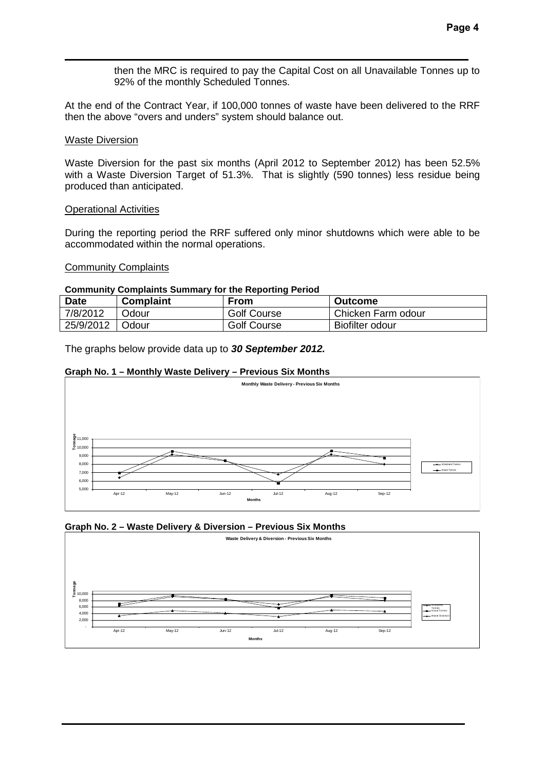then the MRC is required to pay the Capital Cost on all Unavailable Tonnes up to 92% of the monthly Scheduled Tonnes.

At the end of the Contract Year, if 100,000 tonnes of waste have been delivered to the RRF then the above "overs and unders" system should balance out.

#### Waste Diversion

Waste Diversion for the past six months (April 2012 to September 2012) has been 52.5% with a Waste Diversion Target of 51.3%. That is slightly (590 tonnes) less residue being produced than anticipated.

#### Operational Activities

During the reporting period the RRF suffered only minor shutdowns which were able to be accommodated within the normal operations.

#### Community Complaints

#### **Community Complaints Summary for the Reporting Period**

| <b>Date</b> | <b>Complaint</b> | From               | <b>Outcome</b>     |
|-------------|------------------|--------------------|--------------------|
| 7/8/2012    | Odour            | <b>Golf Course</b> | Chicken Farm odour |
| 25/9/2012   | ⊩Odour           | <b>Golf Course</b> | Biofilter odour    |

The graphs below provide data up to *30 September 2012.*

#### **Graph No. 1 – Monthly Waste Delivery – Previous Six Months**



# **Graph No. 2 – Waste Delivery & Diversion – Previous Six Months**

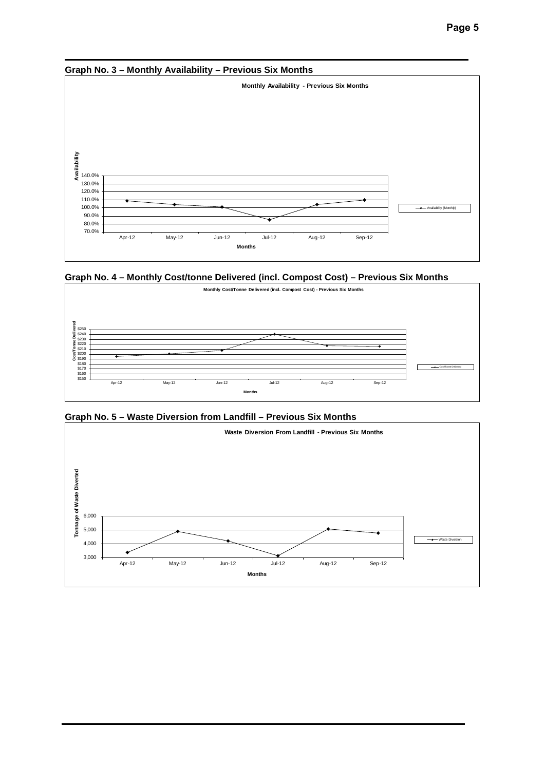

**Graph No. 4 – Monthly Cost/tonne Delivered (incl. Compost Cost) – Previous Six Months**



**Graph No. 5 – Waste Diversion from Landfill – Previous Six Months**

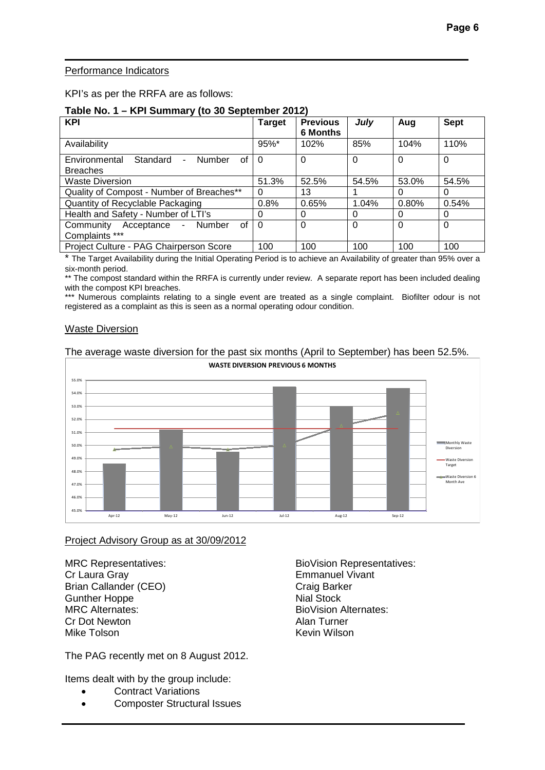# Performance Indicators

KPI's as per the RRFA are as follows:

#### **Table No. 1 – KPI Summary (to 30 September 2012)**

| <b>KPI</b>                                                         | <b>Target</b> | <b>Previous</b><br><b>6 Months</b> | July     | Aug      | <b>Sept</b> |
|--------------------------------------------------------------------|---------------|------------------------------------|----------|----------|-------------|
| Availability                                                       | 95%*          | 102%                               | 85%      | 104%     | 110%        |
| Standard<br>Environmental<br>Number<br>οf<br>Ξ.<br><b>Breaches</b> | 0             | $\Omega$                           | $\Omega$ | $\Omega$ | $\Omega$    |
| <b>Waste Diversion</b>                                             | 51.3%         | 52.5%                              | 54.5%    | 53.0%    | 54.5%       |
| Quality of Compost - Number of Breaches**                          | 0             | 13                                 |          | 0        | 0           |
| Quantity of Recyclable Packaging                                   | 0.8%          | 0.65%                              | 1.04%    | 0.80%    | 0.54%       |
| Health and Safety - Number of LTI's                                | O             | $\Omega$                           | 0        | 0        | 0           |
| Community<br>Number<br>0f<br>Acceptance<br>$\sim$                  | $\Omega$      | $\Omega$                           | $\Omega$ | $\Omega$ | $\Omega$    |
| Complaints ***                                                     |               |                                    |          |          |             |
| Project Culture - PAG Chairperson Score                            | 100           | 100                                | 100      | 100      | 100         |

The Target Availability during the Initial Operating Period is to achieve an Availability of greater than 95% over a six-month period.

\*\* The compost standard within the RRFA is currently under review. A separate report has been included dealing with the compost KPI breaches.

\*\*\* Numerous complaints relating to a single event are treated as a single complaint. Biofilter odour is not registered as a complaint as this is seen as a normal operating odour condition.

# Waste Diversion

#### The average waste diversion for the past six months (April to September) has been 52.5%.



# Project Advisory Group as at 30/09/2012

Cr Laura Gray<br>
Brian Callander (CEO) Santa Craig Barker<br>
Craig Barker Brian Callander (CEO) Craig Bark<br>Gunther Hoppe Craig Stock Gunther Hoppe<br>MRC Alternates: Cr Dot Newton Mike Tolson **Kevin Wilson** Kevin Wilson

The PAG recently met on 8 August 2012.

Items dealt with by the group include:

- Contract Variations
- Composter Structural Issues

MRC Representatives: MRC Representatives: BioVision Alternates:<br>Alan Turner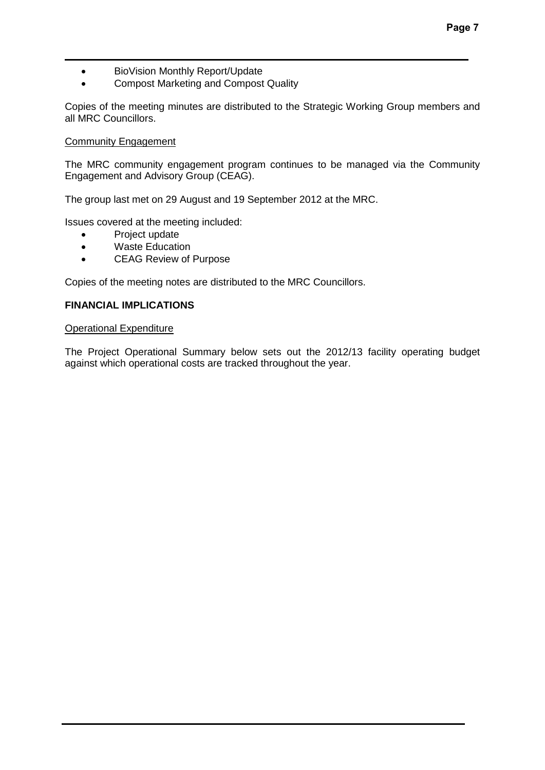- BioVision Monthly Report/Update
- Compost Marketing and Compost Quality

Copies of the meeting minutes are distributed to the Strategic Working Group members and all MRC Councillors.

# Community Engagement

The MRC community engagement program continues to be managed via the Community Engagement and Advisory Group (CEAG).

The group last met on 29 August and 19 September 2012 at the MRC.

Issues covered at the meeting included:

- Project update
- Waste Education
- CEAG Review of Purpose

Copies of the meeting notes are distributed to the MRC Councillors.

# **FINANCIAL IMPLICATIONS**

# Operational Expenditure

The Project Operational Summary below sets out the 2012/13 facility operating budget against which operational costs are tracked throughout the year.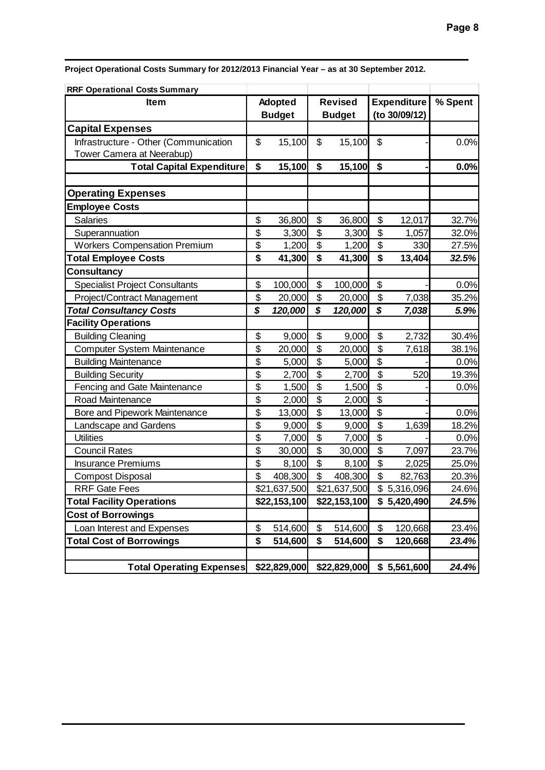**Project Operational Costs Summary for 2012/2013 Financial Year – as at 30 September 2012.**

| <b>RRF Operational Costs Summary</b>  |                |              |                             |              |                    |             |         |
|---------------------------------------|----------------|--------------|-----------------------------|--------------|--------------------|-------------|---------|
| <b>Item</b>                           | <b>Adopted</b> |              | <b>Revised</b>              |              | <b>Expenditure</b> |             | % Spent |
|                                       | <b>Budget</b>  |              | <b>Budget</b>               |              | (to 30/09/12)      |             |         |
| <b>Capital Expenses</b>               |                |              |                             |              |                    |             |         |
| Infrastructure - Other (Communication | \$             | 15,100       | \$                          | 15,100       | \$                 |             | 0.0%    |
| Tower Camera at Neerabup)             |                |              |                             |              |                    |             |         |
| <b>Total Capital Expenditure</b>      | \$             | 15,100       | \$                          | 15,100       | \$                 |             | 0.0%    |
|                                       |                |              |                             |              |                    |             |         |
| <b>Operating Expenses</b>             |                |              |                             |              |                    |             |         |
| <b>Employee Costs</b>                 |                |              |                             |              |                    |             |         |
| <b>Salaries</b>                       | \$             | 36,800       | \$                          | 36,800       | \$                 | 12,017      | 32.7%   |
| Superannuation                        | \$             | 3,300        | \$                          | 3,300        | \$                 | 1,057       | 32.0%   |
| <b>Workers Compensation Premium</b>   | \$             | 1,200        | \$                          | 1,200        | \$                 | 330         | 27.5%   |
| <b>Total Employee Costs</b>           | \$             | 41,300       | $\overline{\boldsymbol{s}}$ | 41,300       | \$                 | 13,404      | 32.5%   |
| <b>Consultancy</b>                    |                |              |                             |              |                    |             |         |
| <b>Specialist Project Consultants</b> | \$             | 100,000      | \$                          | 100,000      | \$                 |             | 0.0%    |
| Project/Contract Management           | \$             | 20,000       | \$                          | 20,000       | \$                 | 7,038       | 35.2%   |
| <b>Total Consultancy Costs</b>        | \$             | 120,000      | $\boldsymbol{\mathcal{S}}$  | 120,000      | \$                 | 7,038       | 5.9%    |
| <b>Facility Operations</b>            |                |              |                             |              |                    |             |         |
| <b>Building Cleaning</b>              | \$             | 9,000        | \$                          | 9,000        | \$                 | 2,732       | 30.4%   |
| Computer System Maintenance           | \$             | 20,000       | \$                          | 20,000       | \$                 | 7,618       | 38.1%   |
| <b>Building Maintenance</b>           | \$             | 5,000        | \$                          | 5,000        | \$                 |             | 0.0%    |
| <b>Building Security</b>              | \$             | 2,700        | \$                          | 2,700        | \$                 | 520         | 19.3%   |
| Fencing and Gate Maintenance          | \$             | 1,500        | $\overline{\mathfrak{s}}$   | 1,500        | \$                 |             | 0.0%    |
| <b>Road Maintenance</b>               | \$             | 2,000        | $\overline{\mathfrak{s}}$   | 2,000        | \$                 |             |         |
| Bore and Pipework Maintenance         | \$             | 13,000       | \$                          | 13,000       | \$                 |             | 0.0%    |
| Landscape and Gardens                 | \$             | 9,000        | $\overline{\mathbf{S}}$     | 9,000        | $\mathfrak{S}$     | 1,639       | 18.2%   |
| <b>Utilities</b>                      | \$             | 7,000        | $\overline{\mathfrak{s}}$   | 7,000        | \$                 |             | 0.0%    |
| <b>Council Rates</b>                  | \$             | 30,000       | $\overline{\mathfrak{s}}$   | 30,000       | \$                 | 7,097       | 23.7%   |
| <b>Insurance Premiums</b>             | \$             | 8,100        | \$                          | 8,100        | \$                 | 2,025       | 25.0%   |
| <b>Compost Disposal</b>               | \$             | 408,300      | \$                          | 408,300      | \$                 | 82,763      | 20.3%   |
| <b>RRF Gate Fees</b>                  |                | \$21,637,500 |                             | \$21,637,500 |                    | \$5,316,096 | 24.6%   |
| <b>Total Facility Operations</b>      |                | \$22,153,100 |                             | \$22,153,100 |                    | \$5,420,490 | 24.5%   |
| <b>Cost of Borrowings</b>             |                |              |                             |              |                    |             |         |
| Loan Interest and Expenses            | \$             | 514,600      | \$                          | 514,600      | \$                 | 120,668     | 23.4%   |
| <b>Total Cost of Borrowings</b>       | \$             | 514,600      | \$                          | 514,600      | \$                 | 120,668     | 23.4%   |
|                                       |                |              |                             |              |                    |             |         |
| <b>Total Operating Expenses</b>       |                | \$22,829,000 |                             | \$22,829,000 |                    | \$5,561,600 | 24.4%   |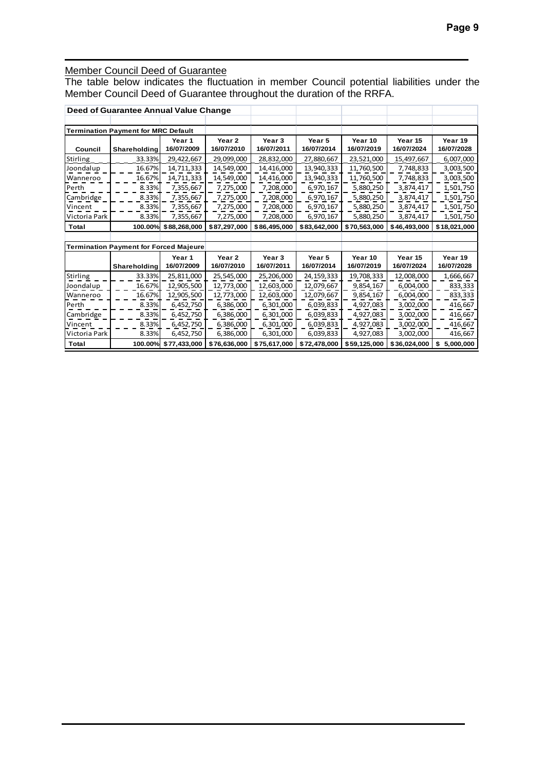# Member Council Deed of Guarantee

The table below indicates the fluctuation in member Council potential liabilities under the Member Council Deed of Guarantee throughout the duration of the RRFA.

|                                            | Deed of Guarantee Annual Value Change  |              |                   |                   |              |              |              |                 |
|--------------------------------------------|----------------------------------------|--------------|-------------------|-------------------|--------------|--------------|--------------|-----------------|
|                                            |                                        |              |                   |                   |              |              |              |                 |
| <b>Termination Payment for MRC Default</b> |                                        |              |                   |                   |              |              |              |                 |
|                                            |                                        | Year 1       | Year <sub>2</sub> | Year <sub>3</sub> | Year 5       | Year 10      | Year 15      | Year 19         |
| Council                                    | Shareholding                           | 16/07/2009   | 16/07/2010        | 16/07/2011        | 16/07/2014   | 16/07/2019   | 16/07/2024   | 16/07/2028      |
| Stirling                                   | 33.33%                                 | 29,422,667   | 29,099,000        | 28,832,000        | 27,880,667   | 23,521,000   | 15,497,667   | 6,007,000       |
| Joondalup                                  | 16.67%                                 | 14,711,333   | 14,549,000        | 14,416,000        | 13,940,333   | 11,760,500   | 7,748,833    | 3,003,500       |
| Wanneroo                                   | 16.67%                                 | 14,711,333   | 14,549,000        | 14,416,000        | 13,940,333   | 11,760,500   | 7,748,833    | 3,003,500       |
| Perth                                      | 8.33%                                  | 7,355,667    | 7,275,000         | 7,208,000         | 6,970,167    | 5,880,250    | 3,874,417    | 1,501,750       |
| Cambridge                                  | 8.33%                                  | 7,355,667    | 7,275,000         | 7,208,000         | 6,970,167    | 5,880,250    | 3,874,417    | 1,501,750       |
| Vincent                                    | 8.33%                                  | 7,355,667    | 7,275,000         | 7,208,000         | 6,970,167    | 5,880,250    | 3,874,417    | 1,501,750       |
| Victoria Park                              | 8.33%                                  | 7,355,667    | 7,275,000         | 7,208,000         | 6,970,167    | 5,880,250    | 3,874,417    | 1,501,750       |
| <b>Total</b>                               | 100.00%                                | \$88,268,000 | \$87,297,000      | \$86,495,000      | \$83,642,000 | \$70,563,000 | \$46,493,000 | \$18,021,000    |
|                                            |                                        |              |                   |                   |              |              |              |                 |
|                                            | Termination Payment for Forced Majeure |              |                   |                   |              |              |              |                 |
|                                            |                                        | Year 1       | Year <sub>2</sub> | Year <sub>3</sub> | Year 5       | Year 10      | Year 15      | Year 19         |
|                                            | Shareholding                           | 16/07/2009   | 16/07/2010        | 16/07/2011        | 16/07/2014   | 16/07/2019   | 16/07/2024   | 16/07/2028      |
| <b>Stirling</b>                            | 33.33%                                 | 25,811,000   | 25,545,000        | 25,206,000        | 24, 159, 333 | 19,708,333   | 12,008,000   | 1,666,667       |
| Joondalup                                  | 16.67%                                 | 12,905,500   | 12,773,000        | 12,603,000        | 12,079,667   | 9,854,167    | 6,004,000    | 833,333         |
| Wanneroo                                   | 16.67%                                 | 12,905,500   | 12,773,000        | 12,603,000        | 12,079,667   | 9,854,167    | 6,004,000    | 833,333         |
| Perth                                      | 8.33%                                  | 6,452,750    | 6,386,000         | 6,301,000         | 6,039,833    | 4,927,083    | 3,002,000    | 416,667         |
| Cambridge                                  | 8.33%                                  | 6,452,750    | 6,386,000         | 6,301,000         | 6,039,833    | 4,927,083    | 3,002,000    | 416,667         |
| Vincent                                    | 8.33%                                  | 6,452,750    | 6,386,000         | 6,301,000         | 6,039,833    | 4,927,083    | 3,002,000    | 416,667         |
| Victoria Park                              | 8.33%                                  | 6,452,750    | 6,386,000         | 6,301,000         | 6,039,833    | 4,927,083    | 3,002,000    | 416,667         |
| <b>Total</b>                               | 100.00%                                | \$77,433,000 | \$76,636,000      | \$75,617,000      | \$72,478,000 | \$59,125,000 | \$36,024,000 | \$<br>5,000,000 |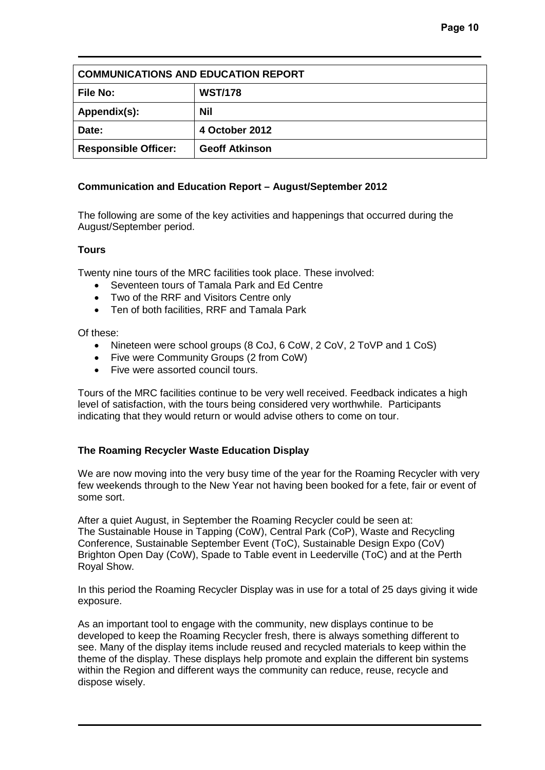| <b>COMMUNICATIONS AND EDUCATION REPORT</b> |                       |  |  |  |
|--------------------------------------------|-----------------------|--|--|--|
| <b>File No:</b>                            | <b>WST/178</b>        |  |  |  |
| Appendix(s):                               | Nil                   |  |  |  |
| Date:                                      | 4 October 2012        |  |  |  |
| <b>Responsible Officer:</b>                | <b>Geoff Atkinson</b> |  |  |  |

# **Communication and Education Report – August/September 2012**

The following are some of the key activities and happenings that occurred during the August/September period.

# **Tours**

Twenty nine tours of the MRC facilities took place. These involved:

- Seventeen tours of Tamala Park and Ed Centre
- Two of the RRF and Visitors Centre only
- Ten of both facilities, RRF and Tamala Park

Of these:

- Nineteen were school groups (8 CoJ, 6 CoW, 2 CoV, 2 ToVP and 1 CoS)
- Five were Community Groups (2 from CoW)
- Five were assorted council tours.

Tours of the MRC facilities continue to be very well received. Feedback indicates a high level of satisfaction, with the tours being considered very worthwhile. Participants indicating that they would return or would advise others to come on tour.

# **The Roaming Recycler Waste Education Display**

We are now moving into the very busy time of the year for the Roaming Recycler with very few weekends through to the New Year not having been booked for a fete, fair or event of some sort.

After a quiet August, in September the Roaming Recycler could be seen at: The Sustainable House in Tapping (CoW), Central Park (CoP), Waste and Recycling Conference, Sustainable September Event (ToC), Sustainable Design Expo (CoV) Brighton Open Day (CoW), Spade to Table event in Leederville (ToC) and at the Perth Royal Show.

In this period the Roaming Recycler Display was in use for a total of 25 days giving it wide exposure.

As an important tool to engage with the community, new displays continue to be developed to keep the Roaming Recycler fresh, there is always something different to see. Many of the display items include reused and recycled materials to keep within the theme of the display. These displays help promote and explain the different bin systems within the Region and different ways the community can reduce, reuse, recycle and dispose wisely.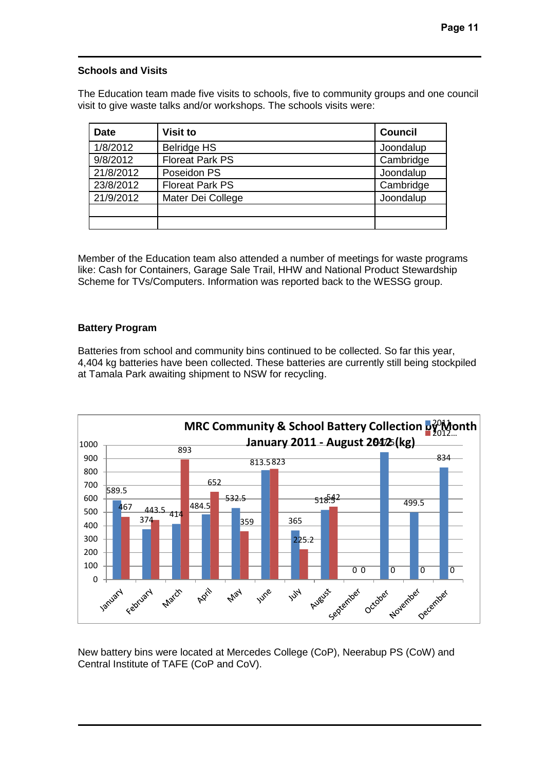# **Schools and Visits**

The Education team made five visits to schools, five to community groups and one council visit to give waste talks and/or workshops. The schools visits were:

| <b>Date</b> | <b>Visit to</b>        | <b>Council</b> |
|-------------|------------------------|----------------|
| 1/8/2012    | <b>Belridge HS</b>     | Joondalup      |
| 9/8/2012    | <b>Floreat Park PS</b> | Cambridge      |
| 21/8/2012   | Poseidon PS            | Joondalup      |
| 23/8/2012   | <b>Floreat Park PS</b> | Cambridge      |
| 21/9/2012   | Mater Dei College      | Joondalup      |
|             |                        |                |
|             |                        |                |

Member of the Education team also attended a number of meetings for waste programs like: Cash for Containers, Garage Sale Trail, HHW and National Product Stewardship Scheme for TVs/Computers. Information was reported back to the WESSG group.

# **Battery Program**

Batteries from school and community bins continued to be collected. So far this year, 4,404 kg batteries have been collected. These batteries are currently still being stockpiled at Tamala Park awaiting shipment to NSW for recycling.



New battery bins were located at Mercedes College (CoP), Neerabup PS (CoW) and Central Institute of TAFE (CoP and CoV).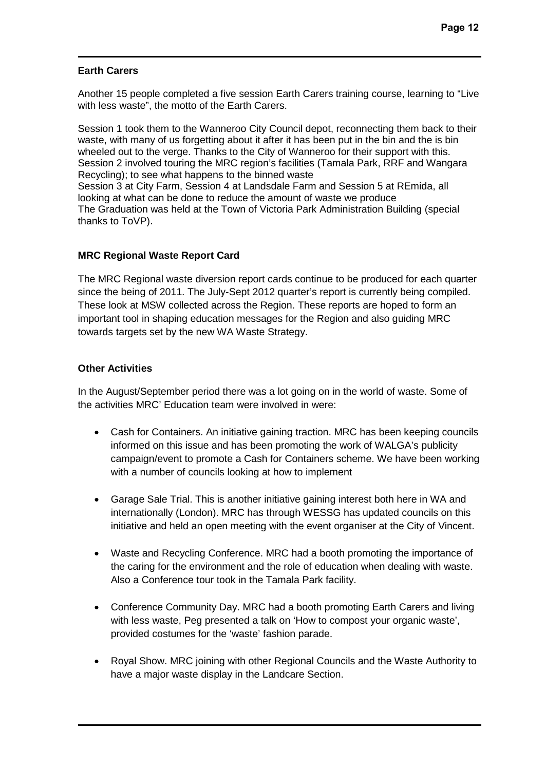# **Earth Carers**

Another 15 people completed a five session Earth Carers training course, learning to "Live with less waste", the motto of the Earth Carers.

Session 1 took them to the Wanneroo City Council depot, reconnecting them back to their waste, with many of us forgetting about it after it has been put in the bin and the is bin wheeled out to the verge. Thanks to the City of Wanneroo for their support with this. Session 2 involved touring the MRC region's facilities (Tamala Park, RRF and Wangara Recycling); to see what happens to the binned waste Session 3 at City Farm, Session 4 at Landsdale Farm and Session 5 at REmida, all looking at what can be done to reduce the amount of waste we produce The Graduation was held at the Town of Victoria Park Administration Building (special thanks to ToVP).

# **MRC Regional Waste Report Card**

The MRC Regional waste diversion report cards continue to be produced for each quarter since the being of 2011. The July-Sept 2012 quarter's report is currently being compiled. These look at MSW collected across the Region. These reports are hoped to form an important tool in shaping education messages for the Region and also guiding MRC towards targets set by the new WA Waste Strategy.

# **Other Activities**

In the August/September period there was a lot going on in the world of waste. Some of the activities MRC' Education team were involved in were:

- Cash for Containers. An initiative gaining traction. MRC has been keeping councils informed on this issue and has been promoting the work of WALGA's publicity campaign/event to promote a Cash for Containers scheme. We have been working with a number of councils looking at how to implement
- Garage Sale Trial. This is another initiative gaining interest both here in WA and internationally (London). MRC has through WESSG has updated councils on this initiative and held an open meeting with the event organiser at the City of Vincent.
- Waste and Recycling Conference. MRC had a booth promoting the importance of the caring for the environment and the role of education when dealing with waste. Also a Conference tour took in the Tamala Park facility.
- Conference Community Day. MRC had a booth promoting Earth Carers and living with less waste, Peg presented a talk on 'How to compost your organic waste', provided costumes for the 'waste' fashion parade.
- Royal Show. MRC joining with other Regional Councils and the Waste Authority to have a major waste display in the Landcare Section.